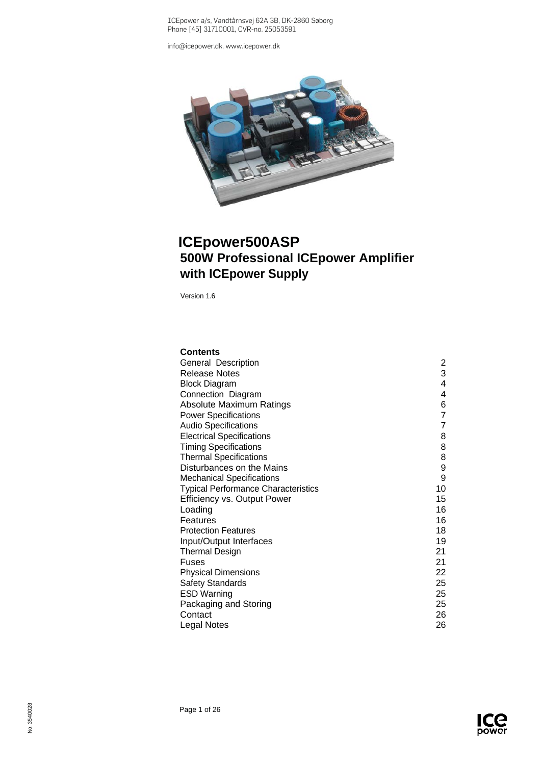ICEpower a/s, Vandtårnsvej 62A 3B, DK-2860 Søborg Phone [45] 31710001, CVR-no. 25053591

[info@icepower.dk,](mailto:info@icepower.dk) [www.icepower.dk](http://www.icepower.dk/)



# **ICEpower500ASP 500W Professional ICEpower Amplifier with ICEpower Supply**

Version 1.6

| <b>Contents</b>                            |    |
|--------------------------------------------|----|
| General Description                        | 2  |
| <b>Release Notes</b>                       | 3  |
| <b>Block Diagram</b>                       | 4  |
| Connection Diagram                         | 4  |
| Absolute Maximum Ratings                   | 6  |
| <b>Power Specifications</b>                | 7  |
| <b>Audio Specifications</b>                | 7  |
| <b>Electrical Specifications</b>           | 8  |
| <b>Timing Specifications</b>               | 8  |
| <b>Thermal Specifications</b>              | 8  |
| Disturbances on the Mains                  | 9  |
| <b>Mechanical Specifications</b>           | 9  |
| <b>Typical Performance Characteristics</b> | 10 |
| <b>Efficiency vs. Output Power</b>         | 15 |
| Loading                                    | 16 |
| Features                                   | 16 |
| <b>Protection Features</b>                 | 18 |
| Input/Output Interfaces                    | 19 |
| <b>Thermal Design</b>                      | 21 |
| Fuses                                      | 21 |
| <b>Physical Dimensions</b>                 | 22 |
| <b>Safety Standards</b>                    | 25 |
| <b>ESD Warning</b>                         | 25 |
| Packaging and Storing                      | 25 |
| Contact                                    | 26 |
| <b>Legal Notes</b>                         | 26 |

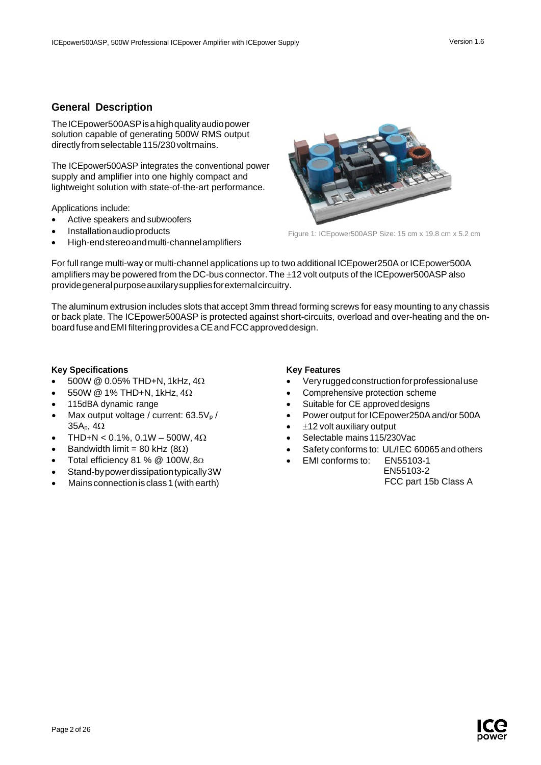## <span id="page-1-0"></span>**General Description**

TheICEpower500ASPisahighqualityaudiopower solution capable of generating 500W RMS output directly from selectable 115/230 volt mains.

The ICEpower500ASP integrates the conventional power supply and amplifier into one highly compact and lightweight solution with state-of-the-art performance.

Applications include:

- Active speakers and subwoofers
- Installationaudioproducts
- High-endstereoandmulti-channelamplifiers



Figure 1: ICEpower500ASP Size: 15 cm x 19.8 cm x 5.2 cm

For full range multi-way or multi-channel applications up to two additional ICEpower250A or ICEpower500A amplifiers may be powered from the DC-bus connector. The ±12 volt outputs of the ICEpower500ASPalso providegeneralpurposeauxilarysuppliesforexternalcircuitry.

The aluminum extrusion includes slots that accept 3mm thread forming screws for easy mounting to any chassis or back plate. The ICEpower500ASP is protected against short-circuits, overload and over-heating and the onboardfuseandEMI filteringprovidesaCEandFCCapproveddesign.

#### **Key Specifications**

- 500W @ 0.05% THD+N, 1kHz, 4Ω
- 550W @ 1% THD+N, 1kHz, 4Ω
- 115dBA dynamic range
- Max output voltage / current:  $63.5V<sub>p</sub>$ / 35Ap, 4Ω
- THD+N < 0.1%, 0.1W 500W,  $4\Omega$
- Bandwidth limit = 80 kHz ( $8Ω$ )
- Total efficiency 81 % @ 100W,8Ω
- Stand-bypowerdissipationtypically3W
- Mains connection is class 1 (with earth)

#### **Key Features**

- Veryruggedconstructionforprofessionaluse
- Comprehensive protection scheme
- Suitable for CE approved designs
- Power output for ICE power 250A and/or 500A
- $±12$  volt auxiliary output
- Selectable mains 115/230Vac
- Safety conforms to: UL/IEC 60065 and others
	- EMI conforms to: EN55103-1 EN55103-2

FCC part 15b Class A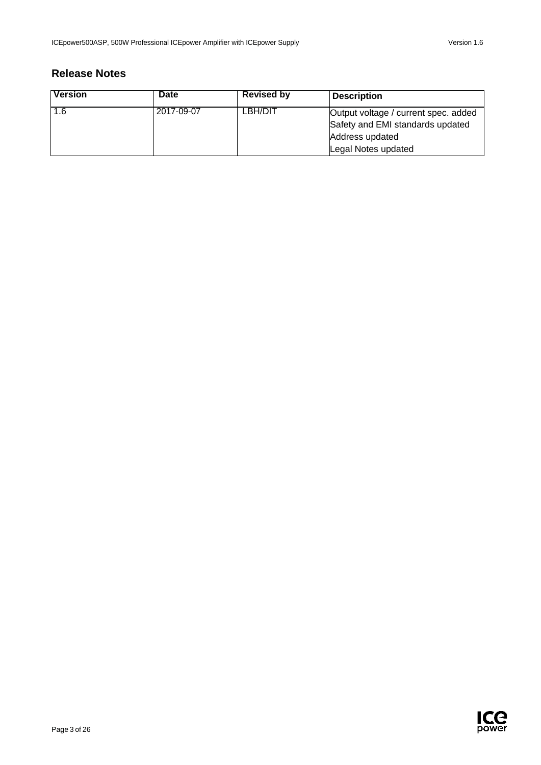# <span id="page-2-0"></span>**Release Notes**

| <b>Version</b> | <b>Date</b> | <b>Revised by</b> | <b>Description</b>                   |
|----------------|-------------|-------------------|--------------------------------------|
| 1.6            | 2017-09-07  | LBH/DIT           | Output voltage / current spec. added |
|                |             |                   | Safety and EMI standards updated     |
|                |             |                   | Address updated                      |
|                |             |                   | Legal Notes updated                  |

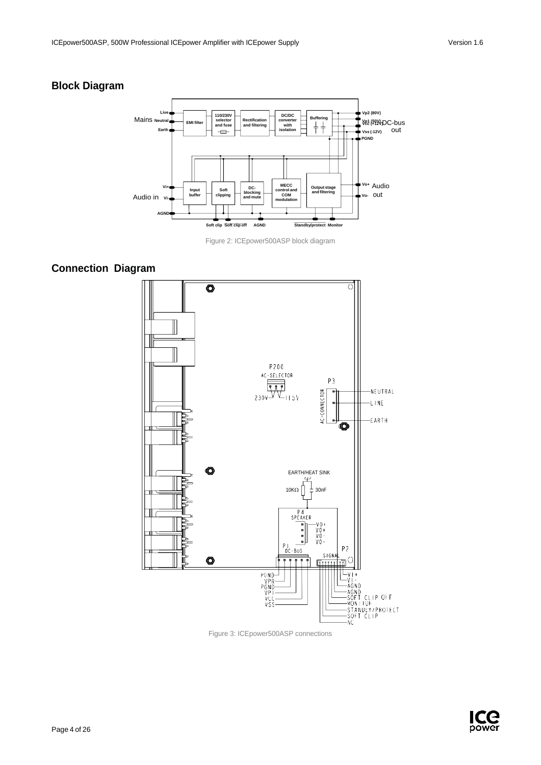## <span id="page-3-0"></span>**Block Diagram**



Figure 2: ICEpower500ASP block diagram

## <span id="page-3-1"></span>**Connection Diagram**



Figure 3: ICEpower500ASP connections

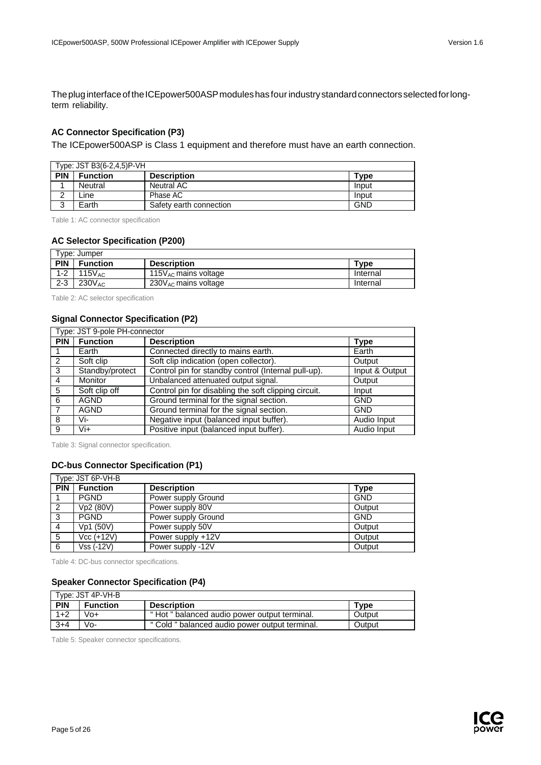The plug interface of the ICEpower500ASP modules has four industry standard connectors selected for longterm reliability.

### **AC Connector Specification (P3)**

The ICEpower500ASP is Class 1 equipment and therefore must have an earth connection.

|            | Type: JST B3(6-2,4,5)P-VH |                         |            |
|------------|---------------------------|-------------------------|------------|
| <b>PIN</b> | <b>Function</b>           | <b>Description</b>      | Tvpe       |
|            | Neutral                   | Neutral AC              | Input      |
|            | ∟ine                      | Phase AC                | Input      |
| ີ          | Earth                     | Safety earth connection | <b>GND</b> |

Table 1: AC connector specification

#### **AC Selector Specification (P200)**

|            | Tvpe: Jumper     |                            |             |
|------------|------------------|----------------------------|-------------|
| <b>PIN</b> | <b>Function</b>  | <b>Description</b>         | <b>Type</b> |
| $1 - 2$    | 115 $\rm V_{AC}$ | 115 $V_{AC}$ mains voltage | Internal    |
| $2 - 3$    | $230V_{AC}$      | $230V_{AC}$ mains voltage  | Internal    |

Table 2: AC selector specification

### **Signal Connector Specification (P2)**

|            | Type: JST 9-pole PH-connector |                                                      |                |  |
|------------|-------------------------------|------------------------------------------------------|----------------|--|
| <b>PIN</b> | <b>Function</b>               | <b>Description</b>                                   | <b>Type</b>    |  |
|            | Earth                         | Connected directly to mains earth.                   | Earth          |  |
| 2          | Soft clip                     | Soft clip indication (open collector).               | Output         |  |
| 3          | Standby/protect               | Control pin for standby control (Internal pull-up).  | Input & Output |  |
| 4          | Monitor                       | Unbalanced attenuated output signal.                 | Output         |  |
| 5          | Soft clip off                 | Control pin for disabling the soft clipping circuit. | Input          |  |
| 6          | <b>AGND</b>                   | Ground terminal for the signal section.              | <b>GND</b>     |  |
|            | <b>AGND</b>                   | Ground terminal for the signal section.              | <b>GND</b>     |  |
| 8          | Vi-                           | Negative input (balanced input buffer).              | Audio Input    |  |
| 9          | Vi+                           | Positive input (balanced input buffer).              | Audio Input    |  |

Table 3: Signal connector specification.

### **DC-bus Connector Specification (P1)**

|            | Type: JST 6P-VH-B |                     |            |
|------------|-------------------|---------------------|------------|
| <b>PIN</b> | <b>Function</b>   | <b>Description</b>  | Type       |
|            | <b>PGND</b>       | Power supply Ground | <b>GND</b> |
| 2          | Vp2 (80V)         | Power supply 80V    | Output     |
| 3          | <b>PGND</b>       | Power supply Ground | <b>GND</b> |
| 4          | Vp1 (50V)         | Power supply 50V    | Output     |
| 5          | $Vcc (+12V)$      | Power supply +12V   | Output     |
| 6          | Vss (-12V)        | Power supply -12V   | Output     |

Table 4: DC-bus connector specifications.

### **Speaker Connector Specification (P4)**

|            | Type: JST 4P-VH-B |                                                |             |
|------------|-------------------|------------------------------------------------|-------------|
| <b>PIN</b> | <b>Function</b>   | <b>Description</b>                             | <b>Type</b> |
| $1+2$      | $V_0+$            | "Hot " balanced audio power output terminal.   | Output      |
| $3+4$      | Vo-               | " Cold " balanced audio power output terminal. | Output      |

Table 5: Speaker connector specifications.

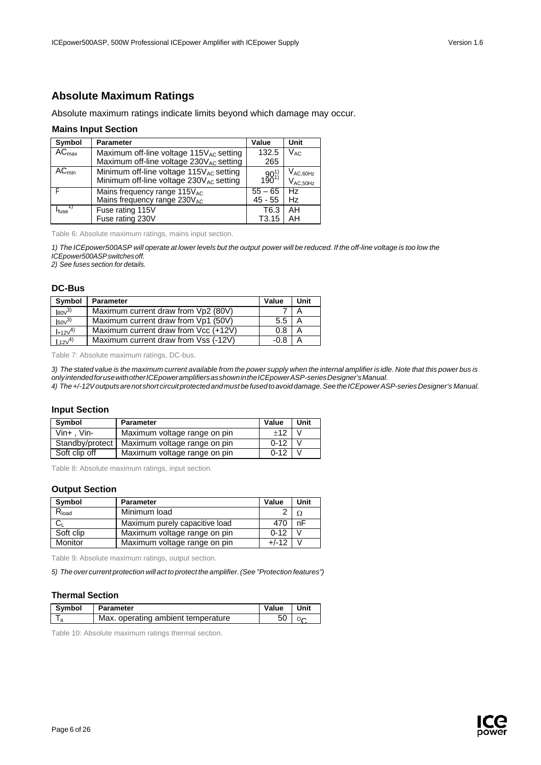## <span id="page-5-0"></span>**Absolute Maximum Ratings**

Absolute maximum ratings indicate limits beyond which damage may occur.

#### **Mains Input Section**

| Symbol                | <b>Parameter</b>                                                                                           | Value             | Unit                           |
|-----------------------|------------------------------------------------------------------------------------------------------------|-------------------|--------------------------------|
| $AC_{\text{max}}$     | Maximum off-line voltage $115V_{AC}$ setting                                                               | 132.5             | $V_{AC}$                       |
|                       | Maximum off-line voltage 230VAC setting                                                                    | 265               |                                |
| $\overline{AC}_{min}$ | Minimum off-line voltage 115V <sub>AC</sub> setting<br>Minimum off-line voltage 230V <sub>AC</sub> setting | $190^{1}$         | $V_{AC,60Hz}$<br>$V_{AC,50Hz}$ |
|                       | Mains frequency range 115VAC                                                                               | $55 - 65$         | <b>Hz</b>                      |
|                       | Mains frequency range 230VAC                                                                               | 45 - 55           | <b>Hz</b>                      |
| I <sub>fuse</sub>     | Fuse rating 115V                                                                                           | T <sub>6.3</sub>  | AH                             |
|                       | Fuse rating 230V                                                                                           | T <sub>3.15</sub> | AH                             |

Table 6: Absolute maximum ratings, mains input section.

1) The ICEpower500ASP will operate at lower levels but the output power will be reduced. If the off-line voltage is too low the *ICEpower500ASPswitchesoff.*

*2) See fuses section for details.*

#### **DC-Bus**

| Symbol            | <b>Parameter</b>                     | Value         | Unit |
|-------------------|--------------------------------------|---------------|------|
| $\mathsf{IsoV}^3$ | Maximum current draw from Vp2 (80V)  |               |      |
| $I_{50V}^{3)}$    | Maximum current draw from Vp1 (50V)  | $5.5^{\circ}$ | A    |
| $I + 12V^{(4)}$   | Maximum current draw from Vcc (+12V) | 0.8           |      |
| $112\sqrt{4}$     | Maximum current draw from Vss (-12V) | -ሰ ጸ          |      |

Table 7: Absolute maximum ratings, DC-bus.

3) The stated value is the maximum current available from the power supply when the internal amplifier is idle. Note that this power bus is *onlyintendedforusewithotherICEpoweramplifiersasshownintheICEpowerASP-seriesDesigner'sManual.*

*4) The+/-12Voutputsarenot short circuitprotectedandmust be fusedtoavoiddamage.SeetheICEpowerASP-seriesDesigner's Manual.*

### **Input Section**

| Symbol            | <b>Parameter</b>                               | Value    | Unit |
|-------------------|------------------------------------------------|----------|------|
| $V$ in+ . $V$ in- | Maximum voltage range on pin                   | $+12$    |      |
|                   | Standby/protect   Maximum voltage range on pin | $0 - 12$ |      |
| Soft clip off     | Maximum voltage range on pin                   | $0 - 12$ |      |

Table 8: Absolute maximum ratings, input section.

### **Output Section**

| Symbol     | <b>Parameter</b>               | Value    | Unit |
|------------|--------------------------------|----------|------|
| $R_{load}$ | Minimum load                   |          |      |
|            | Maximum purely capacitive load | 470      | nF   |
| Soft clip  | Maximum voltage range on pin   | $0 - 12$ |      |
| Monitor    | Maximum voltage range on pin   | $+/-12$  |      |

Table 9: Absolute maximum ratings, output section.

*5) The over current protection will act to protect the amplifier.(See "Protection features")*

### **Thermal Section**

| <b>Symbol</b> | Parameter                          | Value | Unit |
|---------------|------------------------------------|-------|------|
|               | Max. operating ambient temperature |       |      |

Table 10: Absolute maximum ratings thermal section.

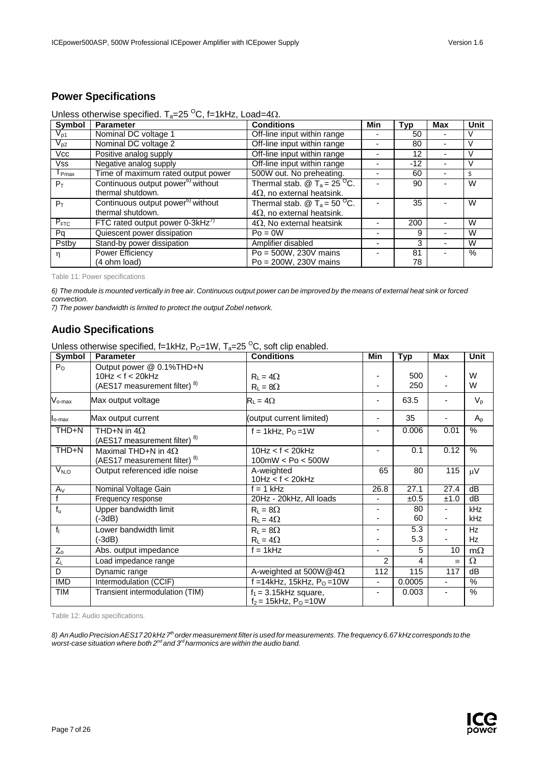<span id="page-6-0"></span>

| <b>Symbol</b> | <b>Parameter</b>                                | <b>Conditions</b>                                                   | Min | Typ   | <b>Max</b> | Unit |
|---------------|-------------------------------------------------|---------------------------------------------------------------------|-----|-------|------------|------|
| $V_{p1}$      | Nominal DC voltage 1                            | Off-line input within range                                         |     | 50    |            |      |
| $V_{p2}$      | Nominal DC voltage 2                            | Off-line input within range                                         |     | 80    |            |      |
| Vcc           | Positive analog supply                          | Off-line input within range                                         |     | 12    |            |      |
| Vss           | Negative analog supply                          | Off-line input within range                                         |     | $-12$ |            |      |
| $I_{Pmax}$    | Time of maximum rated output power              | 500W out. No preheating.                                            |     | 60    |            | S    |
| $P_T$         | Continuous output power <sup>6)</sup> without   | Thermal stab. $\textcircled{2}$ T <sub>a</sub> = 25 <sup>O</sup> C. |     | 90    |            | W    |
|               | thermal shutdown.                               | $4\Omega$ , no external heatsink.                                   |     |       |            |      |
| $P_T$         | Continuous output power <sup>6)</sup> without   | Thermal stab. $\textcircled{2}$ T <sub>a</sub> = 50 <sup>O</sup> C. |     | 35    |            | W    |
|               | thermal shutdown.                               | $4\Omega$ , no external heatsink.                                   |     |       |            |      |
| $P_{FTC}$     | FTC rated output power $0\n-3kHz$ <sup>7)</sup> | $4\Omega$ , No external heatsink                                    |     | 200   |            | W    |
| Pq            | Quiescent power dissipation                     | $Po = 0W$                                                           |     | 9     |            | W    |
| Pstby         | Stand-by power dissipation                      | Amplifier disabled                                                  |     | 3     |            | W    |
| η             | Power Efficiency                                | $Po = 500W$ , 230V mains                                            |     | 81    |            | $\%$ |
|               | (4 ohm load)                                    | $Po = 200W$ , 230V mains                                            |     | 78    |            |      |

Table 11: Power specifications

6) The module is mounted vertically in free air. Continuous output power can be improved by the means of external heat sink or forced *convection.*

*7) The power bandwidth is limited to protect the output Zobel network.*

## <span id="page-6-1"></span>**Audio Specifications**

Unless otherwise specified, f=1kHz,  $P_0$ =1W,  $T_a$ =25<sup>o</sup>C, soft clip enabled.

| <b>Symbol</b>      | <b>Parameter</b>                                                              | <b>Conditions</b>                                               | Min                      | <b>Typ</b> | <b>Max</b>     | Unit            |
|--------------------|-------------------------------------------------------------------------------|-----------------------------------------------------------------|--------------------------|------------|----------------|-----------------|
| $P_{O}$            | Output power @ 0.1%THD+N<br>10Hz < f < 20kHz<br>(AES17 measurement filter) 8) | $R_1 = 4\Omega$<br>$R_L = 8\Omega$                              |                          | 500<br>250 |                | W<br>W          |
| $V_{o\text{-max}}$ | Max output voltage                                                            | $R_1 = 4\Omega$                                                 | -                        | 63.5       |                | $V_{p}$         |
| $I_{o-max}$        | Max output current                                                            | (output current limited)                                        |                          | 35         |                | $A_{p}$         |
| THD+N              | THD+N in $4\Omega$<br>(AES17 measurement filter) <sup>8)</sup>                | f = 1kHz, $P_0$ =1W                                             | Ξ.                       | 0.006      | 0.01           | %               |
| THD+N              | Maximal THD+N in $4\Omega$<br>(AES17 measurement filter) <sup>8)</sup>        | 10Hz < f < 20kHz<br>100mW < Po < 500W                           |                          | 0.1        | 0.12           | $\%$            |
| $V_{N,O}$          | Output referenced idle noise                                                  | A-weighted<br>10Hz < f < 20kHz                                  | 65                       | 80         | 115            | $\mu$ V         |
| $A_V$              | Nominal Voltage Gain                                                          | $f = 1$ kHz                                                     | 26.8                     | 27.1       | 27.4           | $\overline{dB}$ |
|                    | Frequency response                                                            | 20Hz - 20kHz, All loads                                         |                          | ±0.5       | ±1.0           | dB              |
| $f_{u}$            | Upper bandwidth limit                                                         | $R_L = 8\Omega$                                                 |                          | 80         |                | kHz             |
|                    | (-3dB)                                                                        | $R_L = 4\Omega$                                                 | -                        | 60         | -              | kHz             |
| f <sub>1</sub>     | Lower bandwidth limit                                                         | $R_1 = 8\Omega$                                                 | -                        | 5.3        |                | Hz              |
|                    | $(-3dB)$                                                                      | $R_L = 4\Omega$                                                 |                          | 5.3        |                | Hz              |
| $Z_{\rm o}$        | Abs. output impedance                                                         | $f = 1kHz$                                                      | ä,                       | 5          | 10             | $m\Omega$       |
| $Z_L$              | Load impedance range                                                          |                                                                 | 2                        | 4          | $\equiv$       | Ω               |
| D                  | Dynamic range                                                                 | A-weighted at 500W@4 $\Omega$                                   | 112                      | 115        | 117            | dB              |
| <b>IMD</b>         | Intermodulation (CCIF)                                                        | f = 14kHz, 15kHz, $P_0 = 10W$                                   | $\overline{\phantom{0}}$ | 0.0005     | $\blacksquare$ | $\frac{9}{6}$   |
| <b>TIM</b>         | Transient intermodulation (TIM)                                               | $f_1 = 3.15$ kHz square,<br>$f_2 = 15$ kHz, P <sub>O</sub> =10W |                          | 0.003      |                | %               |

Table 12: Audio specifications.

8) An Audio Precision AES1720 kHz 7<sup>th</sup> order measurement filter is used for measurements. The frequency 6.67 kHz corresponds to the *worst-case situation where both 2nd and 3rd harmonics are within the audio band.*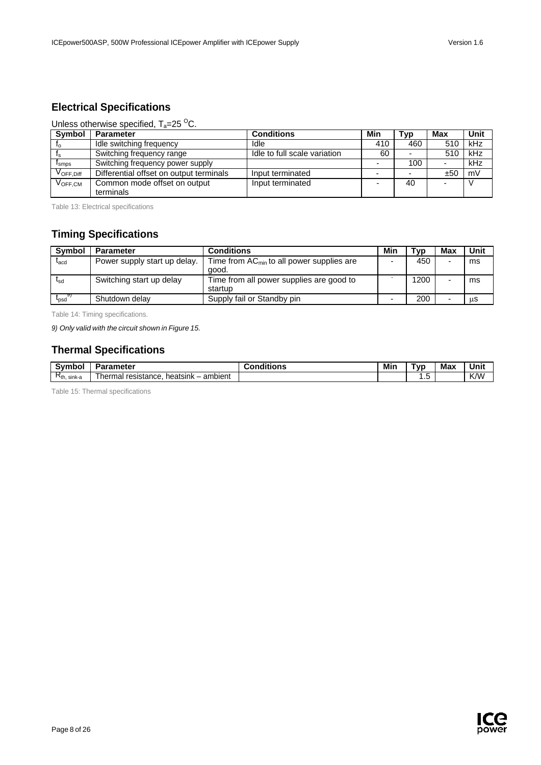## <span id="page-7-0"></span>**Electrical Specifications**

### Unless otherwise specified,  $T_a = 25 \degree C$ .

| Symbol                                    | <b>Parameter</b>                        | <b>Conditions</b>            | Min | Typ | Max | Unit |
|-------------------------------------------|-----------------------------------------|------------------------------|-----|-----|-----|------|
| Ιo                                        | Idle switching frequency                | Idle                         | 410 | 460 | 510 | kHz  |
|                                           | Switching frequency range               | Idle to full scale variation | 60  |     | 510 | kHz  |
| I <sub>smps</sub>                         | Switching frequency power supply        |                              |     | 100 |     | kHz  |
| $\mathsf{V}_{\mathsf{OFF}.\mathsf{Diff}}$ | Differential offset on output terminals | Input terminated             |     |     | ±50 | mV   |
| $V_{\mathsf{OFF}.\mathsf{CM}}$            | Common mode offset on output            | Input terminated             |     | 40  |     |      |
|                                           | terminals                               |                              |     |     |     |      |

Table 13: Electrical specifications

## <span id="page-7-1"></span>**Timing Specifications**

| <b>Symbol</b>    | <b>Parameter</b>             | <b>Conditions</b>                                       | Min | Tvp  | Max | Unit |
|------------------|------------------------------|---------------------------------------------------------|-----|------|-----|------|
| $L_{\text{acd}}$ | Power supply start up delay. | Time from $AC_{min}$ to all power supplies are<br>aood. |     | 450  |     | ms   |
| <sup>L</sup> sd  | Switching start up delay     | Time from all power supplies are good to<br>startup     |     | 1200 |     | ms   |
| $t_{psd}$        | Shutdown delay               | Supply fail or Standby pin                              | -   | 200  |     | us   |

Table 14: Timing specifications.

*9) Only valid with the circuit shown in Figure 15.*

# <span id="page-7-2"></span>**Thermal Specifications**

| $\epsilon$<br>.<br>- - -<br>. | -------<br>nene                             | <br>----- | Min | vr. | Ma<br>_____ |     |
|-------------------------------|---------------------------------------------|-----------|-----|-----|-------------|-----|
| ∽<br>$R_{th}$<br>sink-a       | ambient<br>heatsink<br>hermal<br>resistance |           |     | ں،  |             | K/W |

Table 15: Thermal specifications

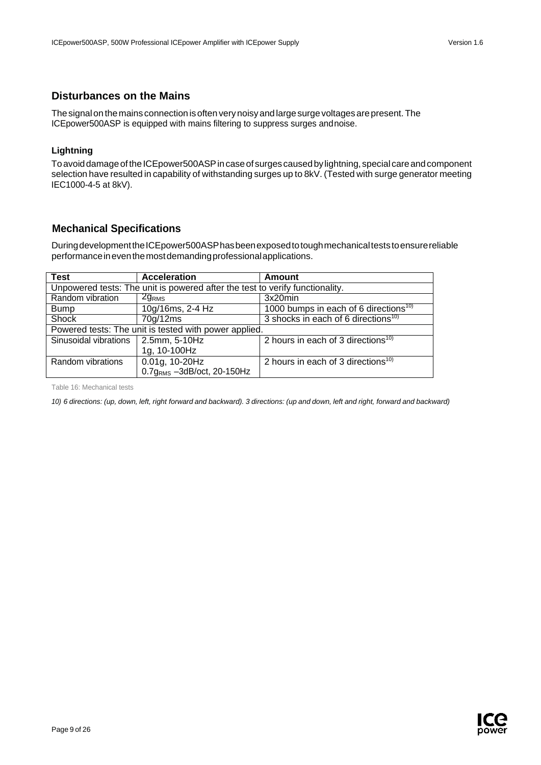### <span id="page-8-0"></span>**Disturbances on the Mains**

The signal on the mains connection is often very noisy and large surge voltages are present. The ICEpower500ASP is equipped with mains filtering to suppress surges andnoise.

### **Lightning**

To avoid damage of the ICEpower500ASP in case of surges caused by lightning, special care and component selection have resulted in capability of withstanding surges up to 8kV. (Tested with surge generator meeting IEC1000-4-5 at 8kV).

## <span id="page-8-1"></span>**Mechanical Specifications**

DuringdevelopmenttheICEpower500ASPhasbeenexposedtotoughmechanicalteststoensurereliable performanceineventhemostdemandingprofessionalapplications.

| <b>Test</b>           | <b>Acceleration</b>                                                          | Amount                                            |  |  |  |
|-----------------------|------------------------------------------------------------------------------|---------------------------------------------------|--|--|--|
|                       | Unpowered tests: The unit is powered after the test to verify functionality. |                                                   |  |  |  |
| Random vibration      | 2g <sub>RMS</sub>                                                            | 3x20min                                           |  |  |  |
| <b>Bump</b>           | 10g/16ms, 2-4 Hz                                                             | 1000 bumps in each of 6 directions <sup>10)</sup> |  |  |  |
| Shock                 | 70g/12ms                                                                     | 3 shocks in each of 6 directions <sup>10)</sup>   |  |  |  |
|                       | Powered tests: The unit is tested with power applied.                        |                                                   |  |  |  |
| Sinusoidal vibrations | $\vert$ 2.5mm, 5-10Hz                                                        | 2 hours in each of 3 directions <sup>10)</sup>    |  |  |  |
|                       | 1g, 10-100Hz                                                                 |                                                   |  |  |  |
| Random vibrations     | 0.01g, 10-20Hz                                                               | 2 hours in each of 3 directions <sup>10)</sup>    |  |  |  |
|                       | $0.7gRMS - 3dB/oct$ , 20-150Hz                                               |                                                   |  |  |  |

Table 16: Mechanical tests

10) 6 directions: (up, down, left, right forward and backward). 3 directions: (up and down, left and right, forward and backward)

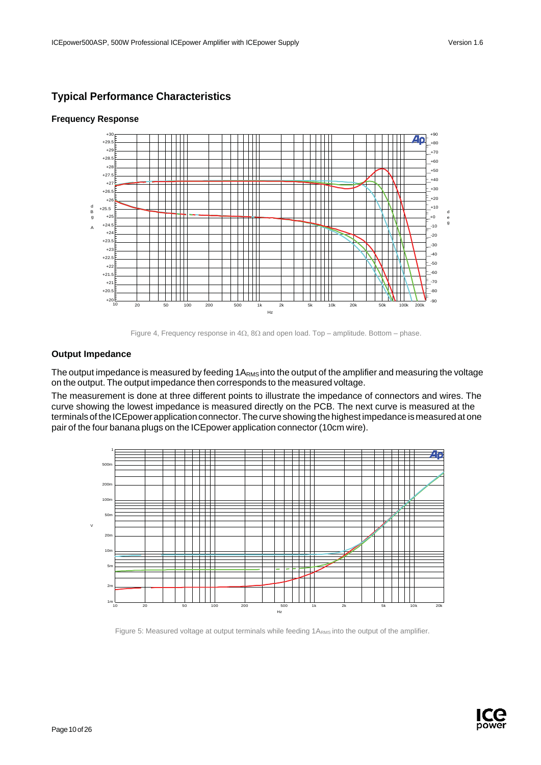## <span id="page-9-0"></span>**Typical Performance Characteristics**



### **Frequency Response**

Figure 4, Frequency response in  $4Ω$ ,  $8Ω$  and open load. Top – amplitude. Bottom – phase.

### **Output Impedance**

The output impedance is measured by feeding 1A<sub>RMS</sub> into the output of the amplifier and measuring the voltage on the output. The output impedance then corresponds to the measured voltage.

The measurement is done at three different points to illustrate the impedance of connectors and wires. The curve showing the lowest impedance is measured directly on the PCB. The next curve is measured at the terminals of the ICEpower application connector. The curve showing the highest impedance is measured at one pair of the four banana plugs on the ICEpower application connector (10cm wire).



Figure 5: Measured voltage at output terminals while feeding 1ARMS into the output of the amplifier.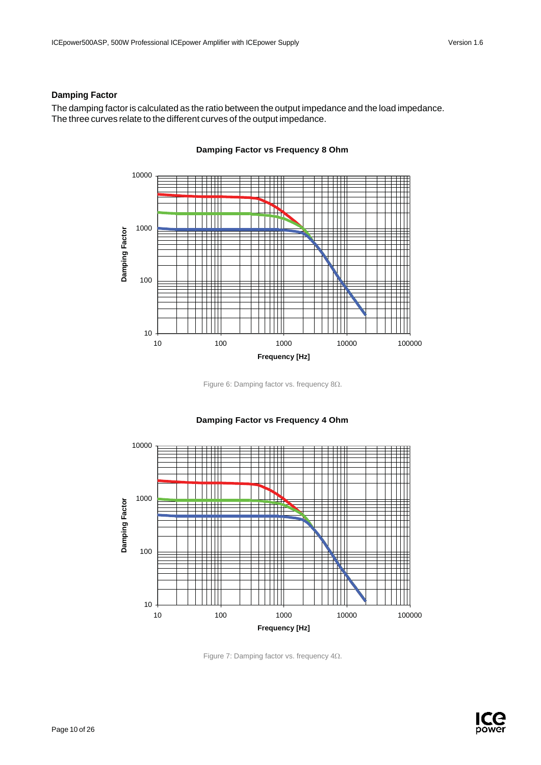### **Damping Factor**

The damping factor is calculated as the ratio between the output impedance and the load impedance. The three curves relate to the different curves of the output impedance.



### **Damping Factor vs Frequency 8 Ohm**

Figure 6: Damping factor vs. frequency 8Ω.



### **Damping Factor vs Frequency 4 Ohm**

Figure 7: Damping factor vs. frequency 4Ω.

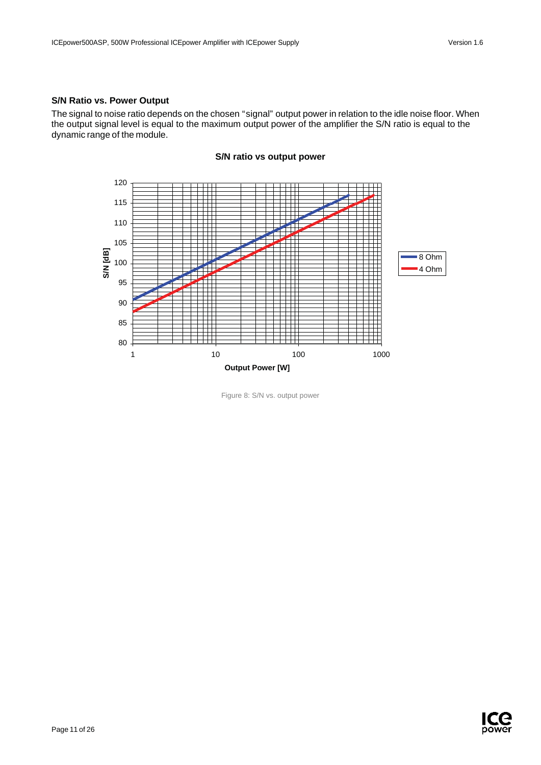### **S/N Ratio vs. Power Output**

The signal to noise ratio depends on the chosen "signal" output power in relation to the idle noise floor. When the output signal level is equal to the maximum output power of the amplifier the S/N ratio is equal to the dynamic range of the module.



**S/N ratio vs output power**

Figure 8: S/N vs. output power

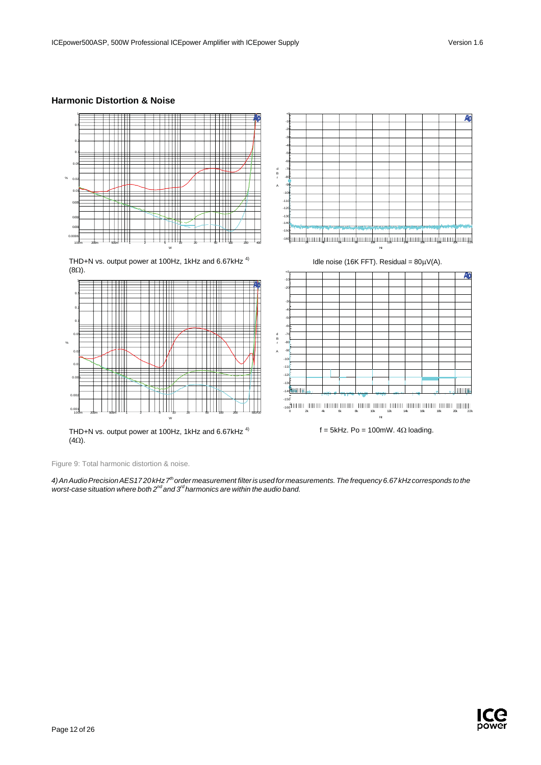### **Harmonic Distortion & Noise**



Figure 9: Total harmonic distortion & noise.

*4)AnAudioPrecisionAES17 20 kHz7th order measurement filteris used for measurements.The frequency 6.67 kHzcorresponds to the worst-case situation where both 2nd and 3rd harmonics are within the audio band.*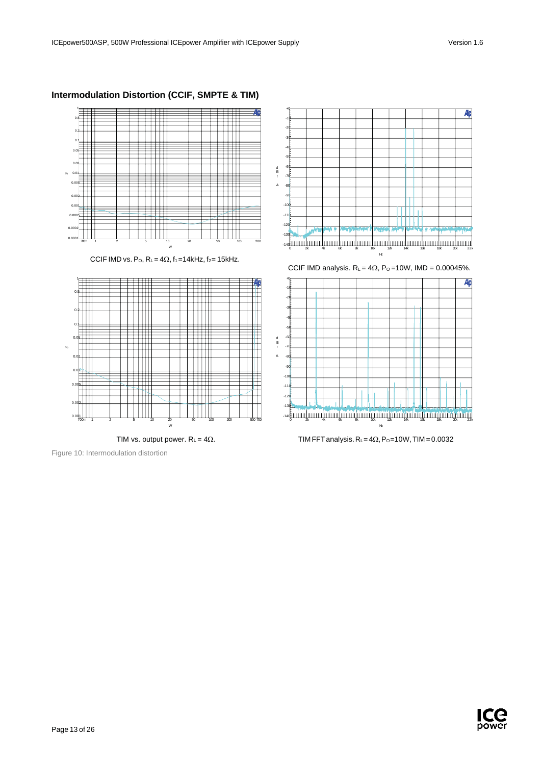

### **Intermodulation Distortion (CCIF, SMPTE & TIM)**

CCIF IMD vs. P<sub>O</sub>,  $R_{L} = 4\Omega$ ,  $f_1 = 14kHz$ ,  $f_2 = 15kHz$ .



TIM vs. output power.  $R_L = 4\Omega$ .

Figure 10: Intermodulation distortion





TIM FFT analysis.  $R_L$ =4 $\Omega$ , P<sub>O</sub>=10W, TIM = 0.0032

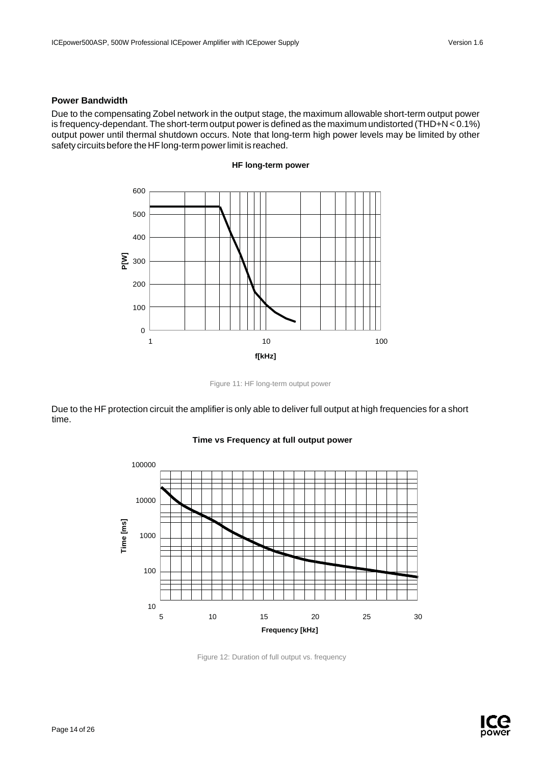### **Power Bandwidth**

Due to the compensating Zobel network in the output stage, the maximum allowable short-term output power is frequency-dependant. The short-term output poweris defined as the maximum undistorted (THD+N < 0.1%) output power until thermal shutdown occurs. Note that long-term high power levels may be limited by other safety circuits before the HF long-term power limit is reached.



**HF long-term power**

Figure 11: HF long-term output power

Due to the HF protection circuit the amplifier is only able to deliver full output at high frequencies for a short time.



#### **Time vs Frequency at full output power**



Figure 12: Duration of full output vs. frequency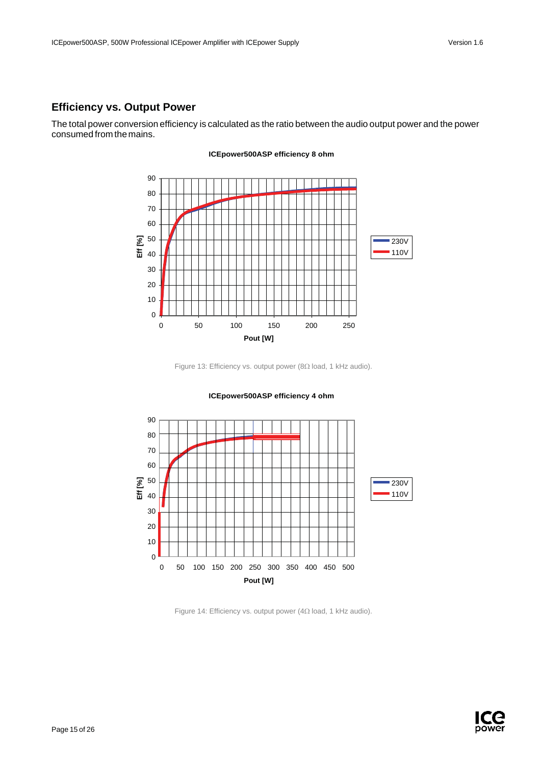## <span id="page-15-0"></span>**Efficiency vs. Output Power**

The total power conversion efficiency is calculated as the ratio between the audio output power and the power consumed from the mains.



**ICEpower500ASP efficiency 8 ohm**

Figure 13: Efficiency vs. output power (8Ω load, 1 kHz audio).





Figure 14: Efficiency vs. output power (4Ω load, 1 kHz audio).

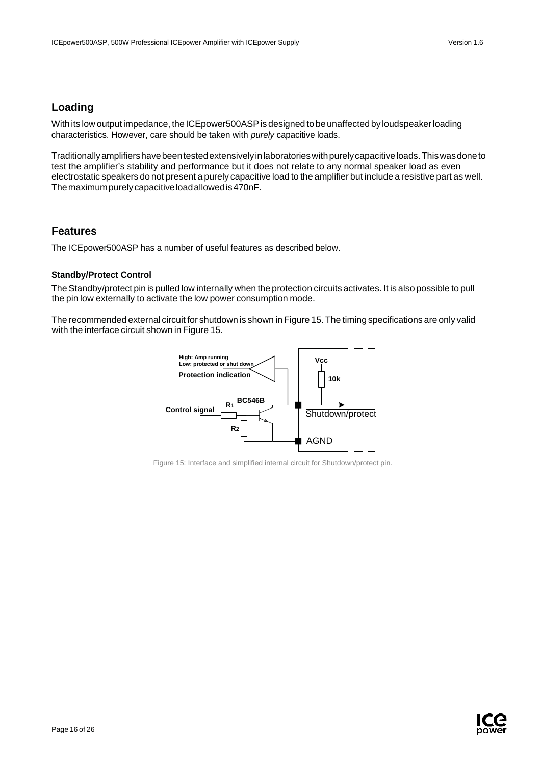## <span id="page-16-0"></span>**Loading**

With its low output impedance, the ICEpower500ASP is designed to be unaffected by loudspeaker loading characteristics. However, care should be taken with *purely* capacitive loads.

Traditionallyamplifiershavebeentestedextensivelyinlaboratorieswithpurelycapacitiveloads.Thiswasdoneto test the amplifier's stability and performance but it does not relate to any normal speaker load as even electrostatic speakers do not present a purely capacitive load to the amplifier but include a resistive part as well. Themaximumpurelycapacitiveloadallowedis470nF.

## <span id="page-16-1"></span>**Features**

The ICEpower500ASP has a number of useful features as described below.

### **Standby/Protect Control**

The Standby/protect pin is pulled low internally when the protection circuits activates. It is also possible to pull the pin low externally to activate the low power consumption mode.

The recommended external circuit for shutdown is shown in Figure 15.The timing specifications are only valid with the interface circuit shown in Figure 15.



Figure 15: Interface and simplified internal circuit for Shutdown/protect pin.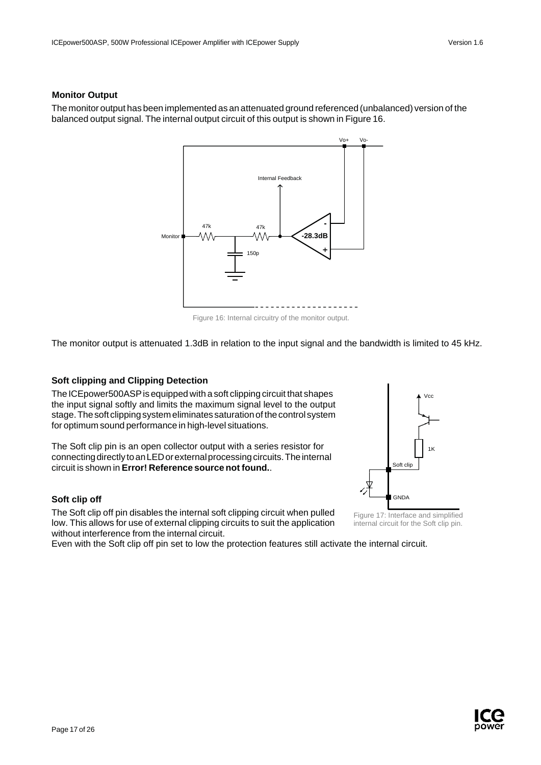### **Monitor Output**

The monitor output has been implemented as an attenuated ground referenced (unbalanced) version of the balanced output signal. The internal output circuit of this output is shown in Figure 16.



Figure 16: Internal circuitry of the monitor output.

The monitor output is attenuated 1.3dB in relation to the input signal and the bandwidth is limited to 45 kHz.

#### **Soft clipping and Clipping Detection**

The ICEpower500ASP is equipped with a soft clipping circuit that shapes the input signal softly and limits the maximum signal level to the output stage. The soft clipping system eliminates saturation of the control system for optimum sound performance in high-level situations.

The Soft clip pin is an open collector output with a series resistor for connecting directly to an LED or external processing circuits. The internal circuit is shown in **Error! Reference source not found.**.

#### **Soft clip off**

The Soft clip off pin disables the internal soft clipping circuit when pulled low. This allows for use of external clipping circuits to suit the application without interference from the internal circuit.

Even with the Soft clip off pin set to low the protection features still activate the internal circuit.



Figure 17: Interface and simplified internal circuit for the Soft clip pin.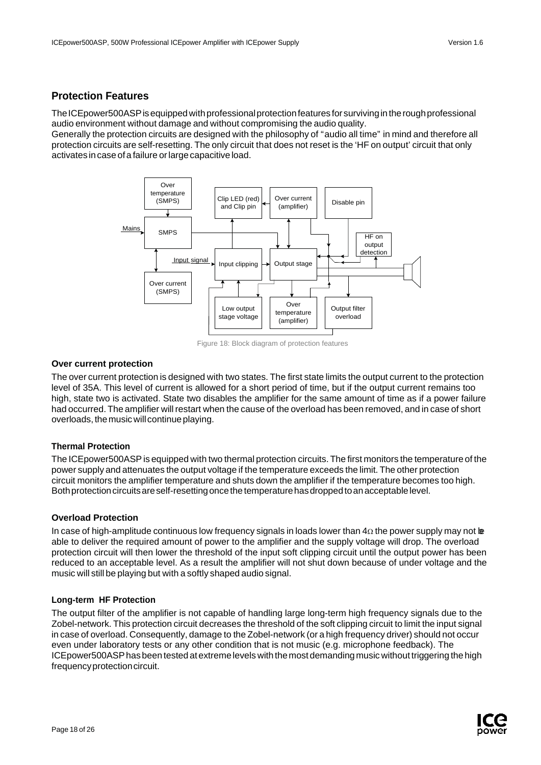## <span id="page-18-0"></span>**Protection Features**

The ICEpower500ASP is equipped with professional protection features for surviving in the rough professional audio environment without damage and without compromising the audio quality.

Generally the protection circuits are designed with the philosophy of "audio all time" in mind and therefore all protection circuits are self-resetting. The only circuit that does not reset is the 'HF on output' circuit that only activates in case of a failure or large capacitive load.



Figure 18: Block diagram of protection features

### **Over current protection**

The over current protection is designed with two states. The first state limits the output current to the protection level of 35A. This level of current is allowed for a short period of time, but if the output current remains too high, state two is activated. State two disables the amplifier for the same amount of time as if a power failure had occurred. The amplifier will restart when the cause of the overload has been removed, and in case of short overloads, the music will continue playing.

### **Thermal Protection**

The ICEpower500ASPis equipped with two thermal protection circuits. The first monitors the temperature of the power supply and attenuates the output voltage if the temperature exceeds the limit. The other protection circuit monitors the amplifier temperature and shuts down the amplifier if the temperature becomes too high. Both protection circuits are self-resetting once the temperature has dropped to an acceptable level.

### **Overload Protection**

In case of high-amplitude continuous low frequency signals in loads lower than  $4\Omega$  the power supply may not be able to deliver the required amount of power to the amplifier and the supply voltage will drop. The overload protection circuit will then lower the threshold of the input soft clipping circuit until the output power has been reduced to an acceptable level. As a result the amplifier will not shut down because of under voltage and the music will still be playing but with a softly shaped audio signal.

### **Long-term HF Protection**

The output filter of the amplifier is not capable of handling large long-term high frequency signals due to the Zobel-network. This protection circuit decreases the threshold of the soft clipping circuit to limit the input signal in case of overload. Consequently, damage to the Zobel-network (or a high frequency driver) should not occur even under laboratory tests or any other condition that is not music (e.g. microphone feedback). The ICEpower500ASPhas been tested atextremelevels with themostdemandingmusic without triggering thehigh frequency protection circuit.

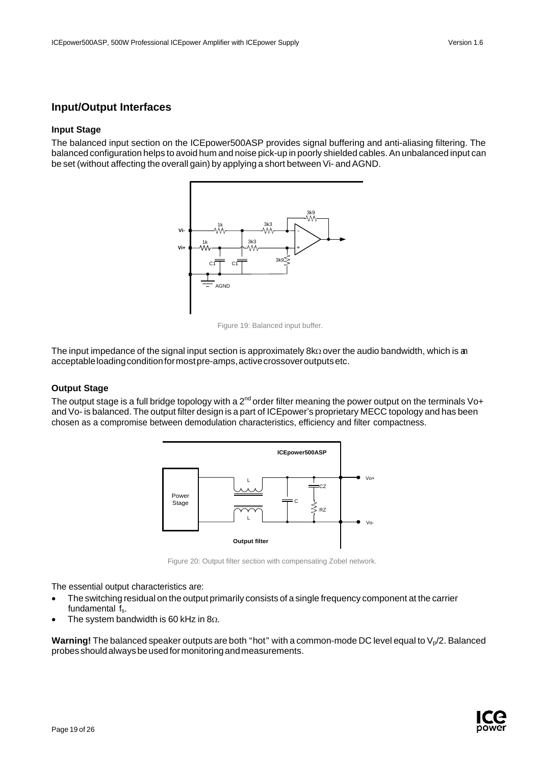## <span id="page-19-0"></span>**Input/Output Interfaces**

#### **Input Stage**

The balanced input section on the ICEpower500ASP provides signal buffering and anti-aliasing filtering. The balanced configuration helps to avoid hum and noise pick-up in poorly shielded cables. An unbalanced input can be set (without affecting the overall gain) by applying a short between Vi- and AGND.



Figure 19: Balanced input buffer.

The input impedance of the signal input section is approximately 8kΩ over the audio bandwidth, which is an acceptable loading condition for most pre-amps, active crossover outputs etc.

### **Output Stage**

The output stage is a full bridge topology with a 2<sup>nd</sup> order filter meaning the power output on the terminals Vo+ and Vo- is balanced. The output filter design is a part of ICEpower's proprietary MECC topology and has been chosen as a compromise between demodulation characteristics, efficiency and filter compactness.



Figure 20: Output filter section with compensating Zobel network.

The essential output characteristics are:

- The switching residual on the output primarily consists of a single frequency component at the carrier fundamental f<sub>s</sub>.
- The system bandwidth is 60 kHz in  $8\Omega$ .

**Warning!** The balanced speaker outputs are both "hot" with a common-mode DC level equal to  $V_p/2$ . Balanced probesshouldalwaysbeusedformonitoringandmeasurements.

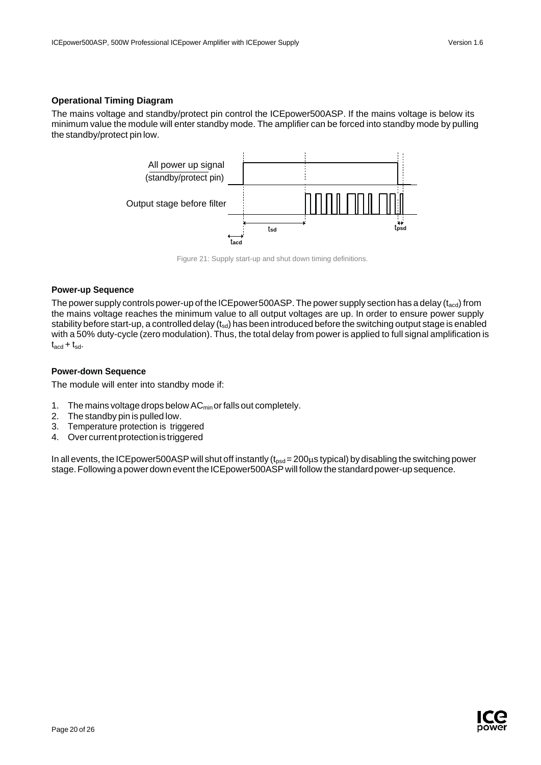### **Operational Timing Diagram**

The mains voltage and standby/protect pin control the ICEpower500ASP. If the mains voltage is below its minimum value the module will enter standby mode. The amplifier can be forced into standby mode by pulling the standby/protect pin low.



Figure 21: Supply start-up and shut down timing definitions.

#### **Power-up Sequence**

The power supply controls power-up of the ICEpower500ASP. The power supply section has a delay ( $t_{\text{acd}}$ ) from the mains voltage reaches the minimum value to all output voltages are up. In order to ensure power supply stability before start-up, a controlled delay (tsd) has been introduced before the switching output stage is enabled with a 50% duty-cycle (zero modulation). Thus, the total delay from power is applied to full signal amplification is  $t_{\text{acd}} + t_{\text{sd}}$ .

### **Power-down Sequence**

The module will enter into standby mode if:

- 1. The mains voltage drops below AC<sub>min</sub> or falls out completely.
- 2. The standby pin is pulled low.
- 3. Temperature protection is triggered
- 4. Over current protection is triggered

In all events, the ICEpower500ASP will shut off instantly ( $t_{psd}$  = 200 $\mu$ s typical) by disabling the switching power stage. Following a power down event the ICE power 500ASP will follow the standard power-up sequence.

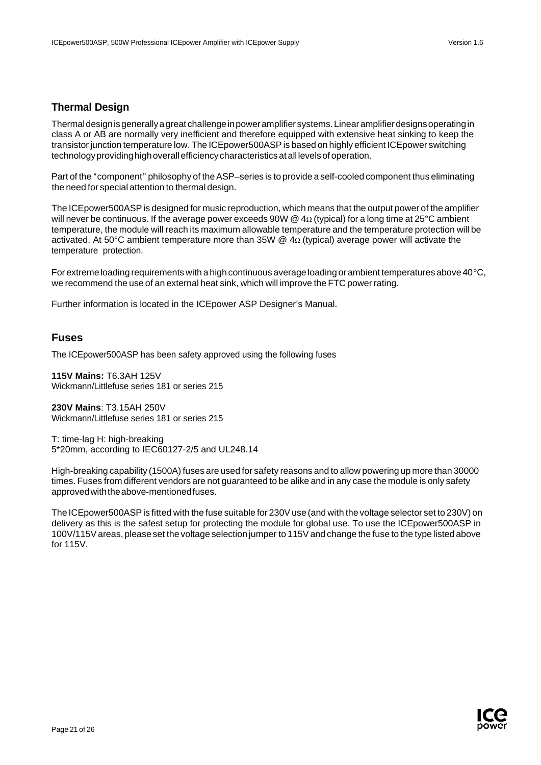## <span id="page-21-0"></span>**Thermal Design**

Thermaldesignisgenerallyagreat challengeinpoweramplifiersystems.Linearamplifierdesignsoperatingin class A or AB are normally very inefficient and therefore equipped with extensive heat sinking to keep the transistor junction temperature low. The ICEpower500ASP is based on highly efficient ICEpower switching technology providing high overall efficiency characteristics at all levels of operation.

Part of the "component" philosophy of the ASP–series is to provide a self-cooled component thus eliminating the need for special attention to thermal design.

The ICEpower500ASPis designed for music reproduction, which means that the output power of the amplifier will never be continuous. If the average power exceeds 90W @  $4\Omega$  (typical) for a long time at 25°C ambient temperature, the module will reach its maximum allowable temperature and the temperature protection will be activated. At 50°C ambient temperature more than 35W @ 4Ω (typical) average power will activate the temperature protection.

For extreme loading requirements with a high continuous average loading or ambient temperatures above 40°C, we recommend the use of an external heat sink, which will improve the FTC power rating.

Further information is located in the ICEpower ASP Designer's Manual.

### <span id="page-21-1"></span>**Fuses**

The ICEpower500ASP has been safety approved using the following fuses

**115V Mains:** T6.3AH 125V Wickmann/Littlefuse series 181 or series 215

**230V Mains**: T3.15AH 250V Wickmann/Littlefuse series 181 or series 215

T: time-lag H: high-breaking 5\*20mm, according to IEC60127-2/5 and UL248.14

High-breaking capability (1500A) fuses are used for safety reasons and to allow powering up more than 30000 times. Fuses from different vendors are not guaranteed to be alike and in any case the module is only safety approvedwiththeabove-mentionedfuses.

The ICEpower500ASPis fitted with the fuse suitable for 230Vuse (and with the voltage selector set to 230V) on delivery as this is the safest setup for protecting the module for global use. To use the ICEpower500ASP in 100V/115Vareas, please set the voltage selection jumper to 115Vand change the fuse to the type listed above for 115V.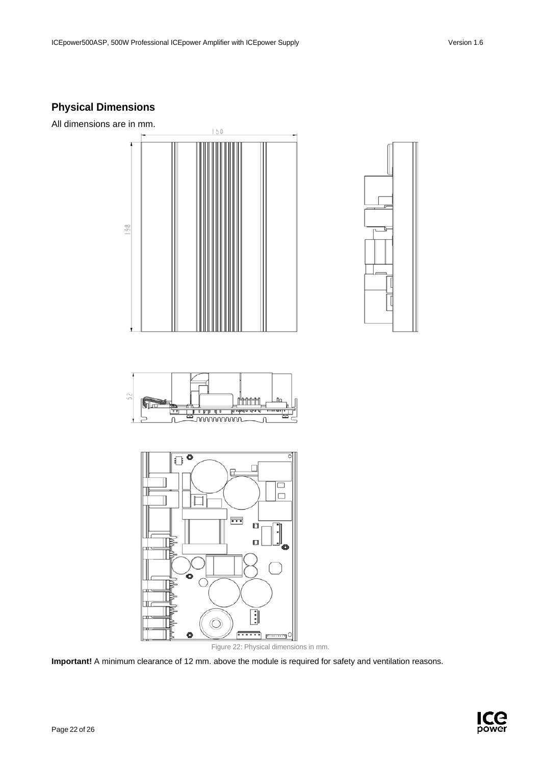# <span id="page-22-0"></span>**Physical Dimensions**

All dimensions are in mm.



Figure 22: Physical dimensions in mm.

**Important!** A minimum clearance of 12 mm. above the module is required for safety and ventilation reasons.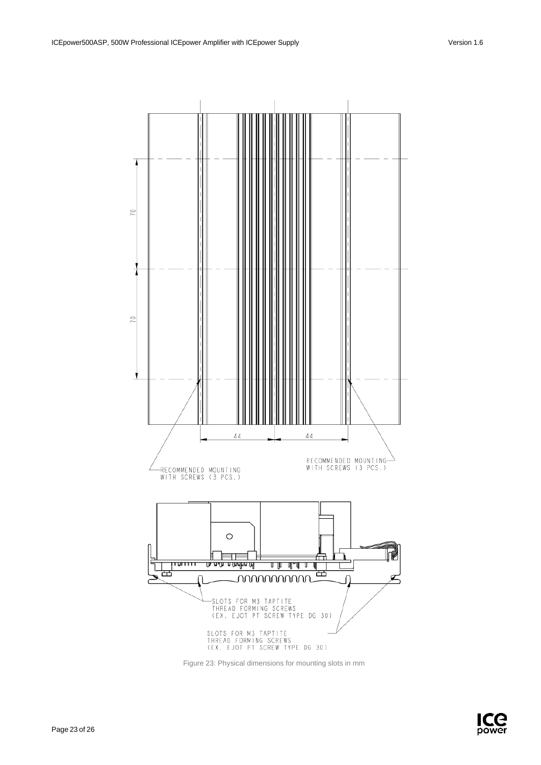

Figure 23: Physical dimensions for mounting slots in mm

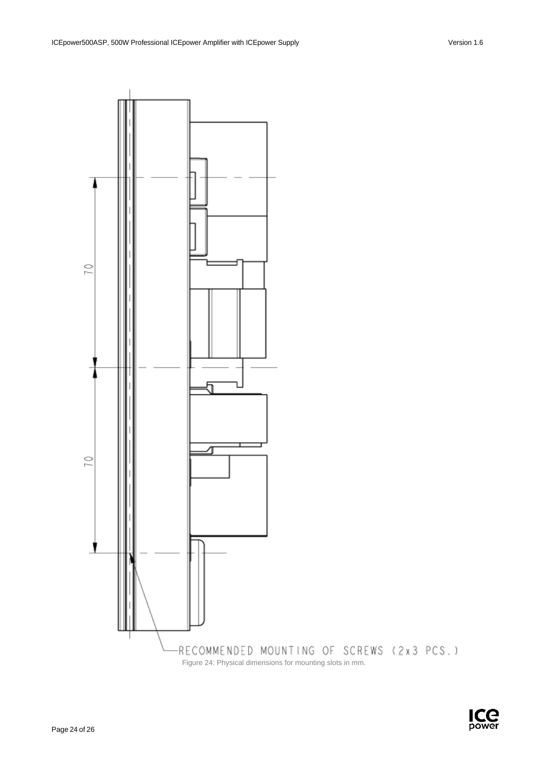

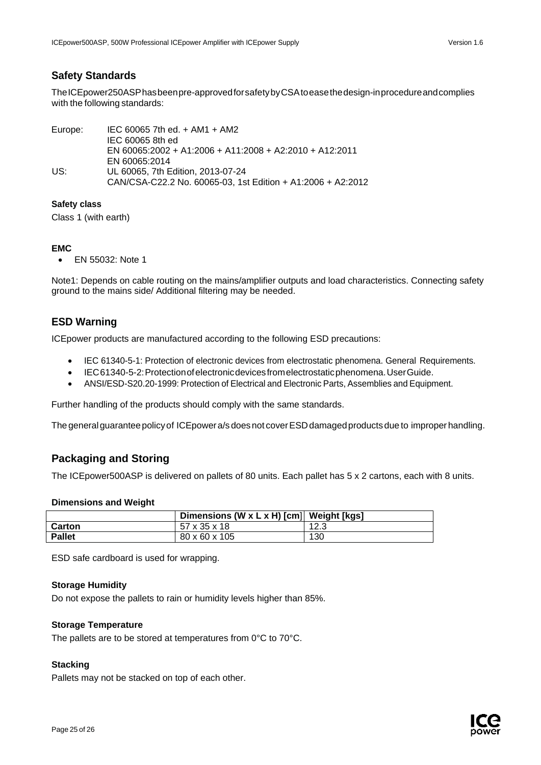## <span id="page-25-0"></span>**Safety Standards**

TheICEpower250ASPhasbeenpre-approvedforsafetybyCSAtoeasethedesign-inprocedureandcomplies with the following standards:

| Europe: | $\text{IEC}$ 60065 7th ed. + AM1 + AM2                      |
|---------|-------------------------------------------------------------|
|         | IEC 60065 8th ed                                            |
|         | EN 60065:2002 + A1:2006 + A11:2008 + A2:2010 + A12:2011     |
|         | EN 60065:2014                                               |
| US:     | UL 60065, 7th Edition, 2013-07-24                           |
|         | CAN/CSA-C22.2 No. 60065-03, 1st Edition + A1:2006 + A2:2012 |

### **Safety class**

Class 1 (with earth)

### **EMC**

• EN 55032: Note 1

Note1: Depends on cable routing on the mains/amplifier outputs and load characteristics. Connecting safety ground to the mains side/ Additional filtering may be needed.

## <span id="page-25-1"></span>**ESD Warning**

ICEpower products are manufactured according to the following ESD precautions:

- IEC 61340-5-1: Protection of electronic devices from electrostatic phenomena. General Requirements.
- IEC61340-5-2:Protectionofelectronicdevicesfromelectrostaticphenomena.UserGuide.
- ANSI/ESD-S20.20-1999: Protection of Electrical and Electronic Parts, Assemblies and Equipment.

Further handling of the products should comply with the same standards.

The general guarantee policy of ICE power a/s does not cover ESD damaged products due to improper handling.

## <span id="page-25-2"></span>**Packaging and Storing**

The ICEpower500ASP is delivered on pallets of 80 units. Each pallet has 5 x 2 cartons, each with 8 units.

### **Dimensions and Weight**

|               | Dimensions (W x L x H) [cm] Weight [kgs] |      |
|---------------|------------------------------------------|------|
| Carton        | 57 x 35 x 18                             | 12.3 |
| <b>Pallet</b> | 80 x 60 x 105                            | 130  |

ESD safe cardboard is used for wrapping.

### **Storage Humidity**

Do not expose the pallets to rain or humidity levels higher than 85%.

### **Storage Temperature**

The pallets are to be stored at temperatures from 0°C to 70°C.

## **Stacking**

Pallets may not be stacked on top of each other.